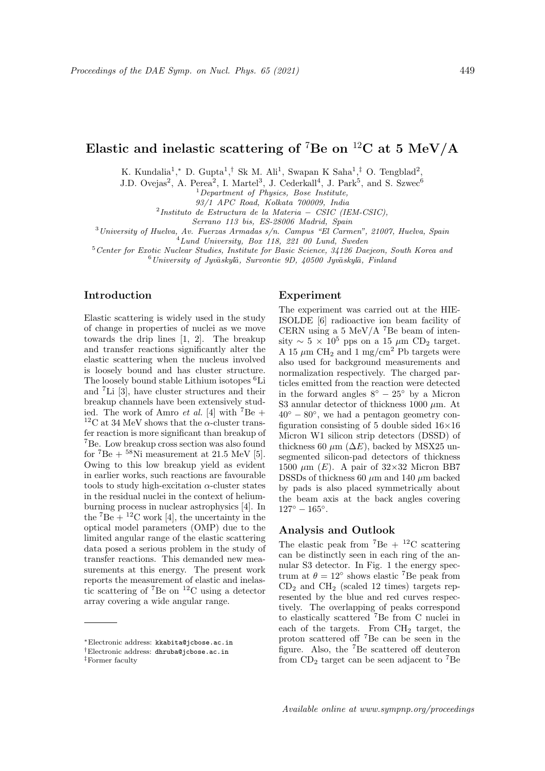# Elastic and inelastic scattering of <sup>7</sup>Be on <sup>12</sup>C at 5 MeV/A

K. Kundalia<sup>1</sup>,\* D. Gupta<sup>1</sup>,<sup>†</sup> Sk M. Ali<sup>1</sup>, Swapan K Saha<sup>1</sup>,<sup>‡</sup> O. Tengblad<sup>2</sup>,

J.D. Ovejas<sup>2</sup>, A. Perea<sup>2</sup>, I. Martel<sup>3</sup>, J. Cederkall<sup>4</sup>, J. Park<sup>5</sup>, and S. Szwec<sup>6</sup>

 $1$  Department of Physics, Bose Institute,

93/1 APC Road, Kolkata 700009, India

2 Instituto de Estructura de la Materia − CSIC (IEM-CSIC),

Serrano 113 bis, ES-28006 Madrid, Spain

 $3$ University of Huelva, Av. Fuerzas Armadas s/n. Campus "El Carmen", 21007, Huelva, Spain

<sup>4</sup>Lund University, Box 118, 221 00 Lund, Sweden

<sup>5</sup>Center for Exotic Nuclear Studies, Institute for Basic Science, 34126 Daejeon, South Korea and

 $6$ University of Jyväskylä, Survontie 9D, 40500 Jyväskylä, Finland

## Introduction

Elastic scattering is widely used in the study of change in properties of nuclei as we move towards the drip lines [1, 2]. The breakup and transfer reactions significantly alter the elastic scattering when the nucleus involved is loosely bound and has cluster structure. The loosely bound stable Lithium isotopes <sup>6</sup>Li and <sup>7</sup>Li [3], have cluster structures and their breakup channels have been extensively studied. The work of Amro *et al.* [4] with <sup>7</sup>Be +  $^{12}\mathrm{C}$  at 34 MeV shows that the  $\alpha\text{-cluster}$  transfer reaction is more significant than breakup of <sup>7</sup>Be. Low breakup cross section was also found for  ${}^{7}Be + {}^{58}Ni$  measurement at 21.5 MeV [5]. Owing to this low breakup yield as evident in earlier works, such reactions are favourable tools to study high-excitation  $\alpha$ -cluster states in the residual nuclei in the context of heliumburning process in nuclear astrophysics [4]. In the  ${}^{7}Be + {}^{12}C$  work [4], the uncertainty in the optical model parameters (OMP) due to the limited angular range of the elastic scattering data posed a serious problem in the study of transfer reactions. This demanded new measurements at this energy. The present work reports the measurement of elastic and inelastic scattering of <sup>7</sup>Be on <sup>12</sup>C using a detector array covering a wide angular range.

#### Experiment

The experiment was carried out at the HIE-ISOLDE [6] radioactive ion beam facility of CERN using a 5 MeV/A  $^7$ Be beam of intensity ~  $5 \times 10^5$  pps on a 15 μm CD<sub>2</sub> target. A 15  $\mu$ m CH<sub>2</sub> and 1 mg/cm<sup>2</sup> Pb targets were also used for background measurements and normalization respectively. The charged particles emitted from the reaction were detected in the forward angles  $8° - 25°$  by a Micron S3 annular detector of thickness 1000  $\mu$ m. At  $40^\circ - 80^\circ$ , we had a pentagon geometry configuration consisting of 5 double sided  $16\times16$ Micron W1 silicon strip detectors (DSSD) of thickness 60  $\mu$ m ( $\Delta E$ ), backed by MSX25 unsegmented silicon-pad detectors of thickness 1500  $\mu$ m (*E*). A pair of 32×32 Micron BB7 DSSDs of thickness 60  $\mu$ m and 140  $\mu$ m backed by pads is also placed symmetrically about the beam axis at the back angles covering  $127^{\circ} - 165^{\circ}.$ 

### Analysis and Outlook

The elastic peak from  ${}^{7}Be + {}^{12}C$  scattering can be distinctly seen in each ring of the annular S3 detector. In Fig. 1 the energy spectrum at  $\theta = 12^{\circ}$  shows elastic <sup>7</sup>Be peak from  $CD<sub>2</sub>$  and  $CH<sub>2</sub>$  (scaled 12 times) targets represented by the blue and red curves respectively. The overlapping of peaks correspond to elastically scattered <sup>7</sup>Be from C nuclei in each of the targets. From CH<sup>2</sup> target, the proton scattered off <sup>7</sup>Be can be seen in the figure. Also, the <sup>7</sup>Be scattered off deuteron from  $CD_2$  target can be seen adjacent to <sup>7</sup>Be

<sup>∗</sup>Electronic address: kkabita@jcbose.ac.in

<sup>†</sup>Electronic address: dhruba@jcbose.ac.in

<sup>‡</sup>Former faculty